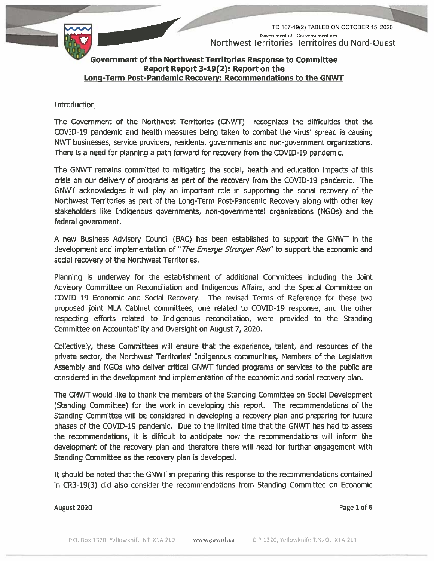

TD 167-19(2) TABLED ON OCTOBER 15, 2020 Government of Gouvernement des Northwest Territories Territoires du Nord-Ouest

#### Government of the Northwest Territories Response to Committee Report Report 3-19(2): Report on the Long-Term Post-Pandemic Recovery: Recommendations to the GNWT

#### Introduction

The Government of the Northwest Territories (GNWT) recognizes the difficulties that the COVID-19 pandemic and health measures being taken to combat the virus' spread is causing NWT businesses, service providers, residents, governments and non-government organizations. There is a need for planning a path forward for recovery from the COVID-19 pandemic.

The GNWT remains committed to mitigating the social, health and education impacts of this crisis on our delivery of programs as part of the recovery from the COVID-19 pandemic. The GNWT acknowledges it will play an important role in supporting the social recovery of the Northwest Territories as part of the Long-Term Post-Pandemic Recovery along with other key stakeholders like Indigenous governments, non-governmental organizations (NGOs) and the federal government.

A new Business Advisory Council (BAC) has been established to support the GNWT in the development and implementation of "The Emerge Stronger Plan" to support the economic and social recovery of the Northwest Territories.

Planning is underway for the establishment of additional Committees including the Joint Advisory Committee on Reconciliation and Indigenous Affairs, and the Special Committee on COVID 19 Economic and Social Recovery. The revised Terms of Reference for these two proposed joint MLA Cabinet committees, one related to COVID-19 response, and the other respecting efforts related to Indigenous reconciliation, were provided to the Standing Committee on Accountability and Oversight on August 7, 2020.

Collectively, these Committees will ensure that the experience, talent, and resources of the private sector, the Northwest Territories' Indigenous communities, Members of the Legislative Assembly and NGOs who deliver critical GNWT funded programs or services to the public are considered in the development and implementation of the economic and social recovery plan.

The GNWT would like to thank the members of the Standing Committee on Social Development (Standing Committee) for the work in developing this report. The recommendations of the Standing Committee will be considered in developing a recovery plan and preparing for future phases of the COVID-19 pandemic. Due to the limited time that the GNWT has had to assess the recommendations, it is difficult to anticipate how the recommendations will inform the development of the recovery plan and therefore there will need for further engagement with Standing Committee as the recovery plan is developed.

It should be noted that the GNWT in preparing this response to the recommendations contained in CR3-19(3) did also consider the recommendations from Standing Committee on Economic

August 2020

Page 1 of 6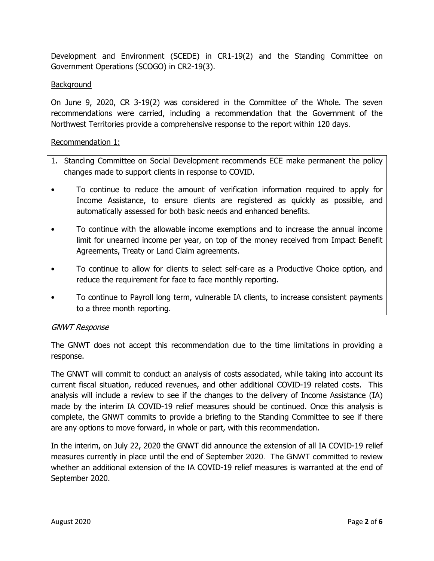Development and Environment (SCEDE) in CR1-19(2) and the Standing Committee on Government Operations (SCOGO) in CR2-19(3).

# **Background**

On June 9, 2020, CR 3-19(2) was considered in the Committee of the Whole. The seven recommendations were carried, including a recommendation that the Government of the Northwest Territories provide a comprehensive response to the report within 120 days.

### Recommendation 1:

- 1. Standing Committee on Social Development recommends ECE make permanent the policy changes made to support clients in response to COVID.
- To continue to reduce the amount of verification information required to apply for Income Assistance, to ensure clients are registered as quickly as possible, and automatically assessed for both basic needs and enhanced benefits.
- To continue with the allowable income exemptions and to increase the annual income limit for unearned income per year, on top of the money received from Impact Benefit Agreements, Treaty or Land Claim agreements.
- To continue to allow for clients to select self-care as a Productive Choice option, and reduce the requirement for face to face monthly reporting.
- To continue to Payroll long term, vulnerable IA clients, to increase consistent payments to a three month reporting.

### GNWT Response

The GNWT does not accept this recommendation due to the time limitations in providing a response.

The GNWT will commit to conduct an analysis of costs associated, while taking into account its current fiscal situation, reduced revenues, and other additional COVID-19 related costs. This analysis will include a review to see if the changes to the delivery of Income Assistance (IA) made by the interim IA COVID-19 relief measures should be continued. Once this analysis is complete, the GNWT commits to provide a briefing to the Standing Committee to see if there are any options to move forward, in whole or part, with this recommendation.

In the interim, on July 22, 2020 the GNWT did announce the extension of all IA COVID-19 relief measures currently in place until the end of September 2020. The GNWT committed to review whether an additional extension of the IA COVID-19 relief measures is warranted at the end of September 2020.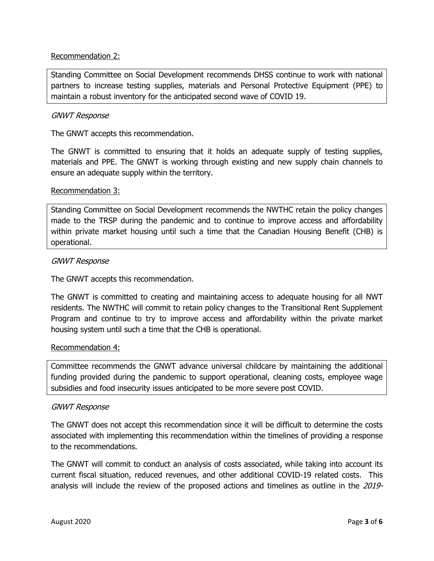# Recommendation 2:

Standing Committee on Social Development recommends DHSS continue to work with national partners to increase testing supplies, materials and Personal Protective Equipment (PPE) to maintain a robust inventory for the anticipated second wave of COVID 19.

#### GNWT Response

The GNWT accepts this recommendation.

The GNWT is committed to ensuring that it holds an adequate supply of testing supplies, materials and PPE. The GNWT is working through existing and new supply chain channels to ensure an adequate supply within the territory.

#### Recommendation 3:

Standing Committee on Social Development recommends the NWTHC retain the policy changes made to the TRSP during the pandemic and to continue to improve access and affordability within private market housing until such a time that the Canadian Housing Benefit (CHB) is operational.

#### GNWT Response

The GNWT accepts this recommendation.

The GNWT is committed to creating and maintaining access to adequate housing for all NWT residents. The NWTHC will commit to retain policy changes to the Transitional Rent Supplement Program and continue to try to improve access and affordability within the private market housing system until such a time that the CHB is operational.

### Recommendation 4:

Committee recommends the GNWT advance universal childcare by maintaining the additional funding provided during the pandemic to support operational, cleaning costs, employee wage subsidies and food insecurity issues anticipated to be more severe post COVID.

### GNWT Response

The GNWT does not accept this recommendation since it will be difficult to determine the costs associated with implementing this recommendation within the timelines of providing a response to the recommendations.

The GNWT will commit to conduct an analysis of costs associated, while taking into account its current fiscal situation, reduced revenues, and other additional COVID-19 related costs. This analysis will include the review of the proposed actions and timelines as outline in the 2019-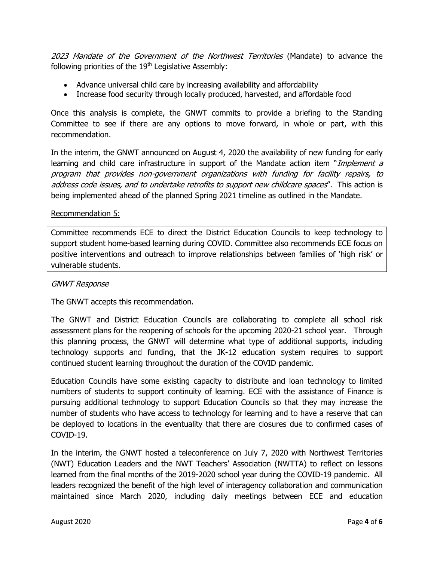2023 Mandate of the Government of the Northwest Territories (Mandate) to advance the following priorities of the  $19<sup>th</sup>$  Legislative Assembly:

- Advance universal child care by increasing availability and affordability
- Increase food security through locally produced, harvested, and affordable food

Once this analysis is complete, the GNWT commits to provide a briefing to the Standing Committee to see if there are any options to move forward, in whole or part, with this recommendation.

In the interim, the GNWT announced on August 4, 2020 the availability of new funding for early learning and child care infrastructure in support of the Mandate action item "Implement a program that provides non-government organizations with funding for facility repairs, to address code issues, and to undertake retrofits to support new childcare spaces". This action is being implemented ahead of the planned Spring 2021 timeline as outlined in the Mandate.

### Recommendation 5:

Committee recommends ECE to direct the District Education Councils to keep technology to support student home-based learning during COVID. Committee also recommends ECE focus on positive interventions and outreach to improve relationships between families of 'high risk' or vulnerable students.

#### GNWT Response

The GNWT accepts this recommendation.

The GNWT and District Education Councils are collaborating to complete all school risk assessment plans for the reopening of schools for the upcoming 2020-21 school year. Through this planning process, the GNWT will determine what type of additional supports, including technology supports and funding, that the JK-12 education system requires to support continued student learning throughout the duration of the COVID pandemic.

Education Councils have some existing capacity to distribute and loan technology to limited numbers of students to support continuity of learning. ECE with the assistance of Finance is pursuing additional technology to support Education Councils so that they may increase the number of students who have access to technology for learning and to have a reserve that can be deployed to locations in the eventuality that there are closures due to confirmed cases of COVID-19.

In the interim, the GNWT hosted a teleconference on July 7, 2020 with Northwest Territories (NWT) Education Leaders and the NWT Teachers' Association (NWTTA) to reflect on lessons learned from the final months of the 2019-2020 school year during the COVID-19 pandemic. All leaders recognized the benefit of the high level of interagency collaboration and communication maintained since March 2020, including daily meetings between ECE and education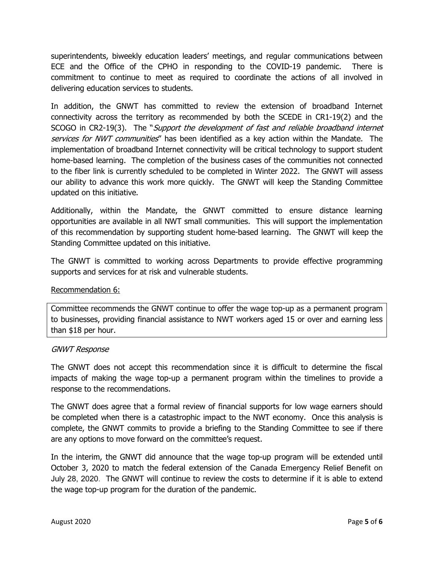superintendents, biweekly education leaders' meetings, and regular communications between ECE and the Office of the CPHO in responding to the COVID-19 pandemic. There is commitment to continue to meet as required to coordinate the actions of all involved in delivering education services to students.

In addition, the GNWT has committed to review the extension of broadband Internet connectivity across the territory as recommended by both the SCEDE in CR1-19(2) and the SCOGO in CR2-19(3). The "Support the development of fast and reliable broadband internet services for NWT communities" has been identified as a key action within the Mandate. The implementation of broadband Internet connectivity will be critical technology to support student home-based learning. The completion of the business cases of the communities not connected to the fiber link is currently scheduled to be completed in Winter 2022. The GNWT will assess our ability to advance this work more quickly. The GNWT will keep the Standing Committee updated on this initiative.

Additionally, within the Mandate, the GNWT committed to ensure distance learning opportunities are available in all NWT small communities. This will support the implementation of this recommendation by supporting student home-based learning. The GNWT will keep the Standing Committee updated on this initiative.

The GNWT is committed to working across Departments to provide effective programming supports and services for at risk and vulnerable students.

### Recommendation 6:

Committee recommends the GNWT continue to offer the wage top-up as a permanent program to businesses, providing financial assistance to NWT workers aged 15 or over and earning less than \$18 per hour.

### GNWT Response

The GNWT does not accept this recommendation since it is difficult to determine the fiscal impacts of making the wage top-up a permanent program within the timelines to provide a response to the recommendations.

The GNWT does agree that a formal review of financial supports for low wage earners should be completed when there is a catastrophic impact to the NWT economy. Once this analysis is complete, the GNWT commits to provide a briefing to the Standing Committee to see if there are any options to move forward on the committee's request.

In the interim, the GNWT did announce that the wage top-up program will be extended until October 3, 2020 to match the federal extension of the Canada Emergency Relief Benefit on July 28, 2020. The GNWT will continue to review the costs to determine if it is able to extend the wage top-up program for the duration of the pandemic.